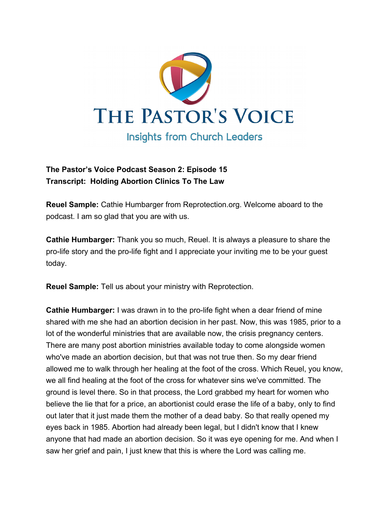

## **The Pastor's Voice Podcast Season 2: Episode 15 Transcript: Holding Abortion Clinics To The Law**

**Reuel Sample:** Cathie Humbarger from Reprotection.org. Welcome aboard to the podcast. I am so glad that you are with us.

**Cathie Humbarger:** Thank you so much, Reuel. It is always a pleasure to share the pro-life story and the pro-life fight and I appreciate your inviting me to be your guest today.

**Reuel Sample:** Tell us about your ministry with Reprotection.

**Cathie Humbarger:** I was drawn in to the pro-life fight when a dear friend of mine shared with me she had an abortion decision in her past. Now, this was 1985, prior to a lot of the wonderful ministries that are available now, the crisis pregnancy centers. There are many post abortion ministries available today to come alongside women who've made an abortion decision, but that was not true then. So my dear friend allowed me to walk through her healing at the foot of the cross. Which Reuel, you know, we all find healing at the foot of the cross for whatever sins we've committed. The ground is level there. So in that process, the Lord grabbed my heart for women who believe the lie that for a price, an abortionist could erase the life of a baby, only to find out later that it just made them the mother of a dead baby. So that really opened my eyes back in 1985. Abortion had already been legal, but I didn't know that I knew anyone that had made an abortion decision. So it was eye opening for me. And when I saw her grief and pain, I just knew that this is where the Lord was calling me.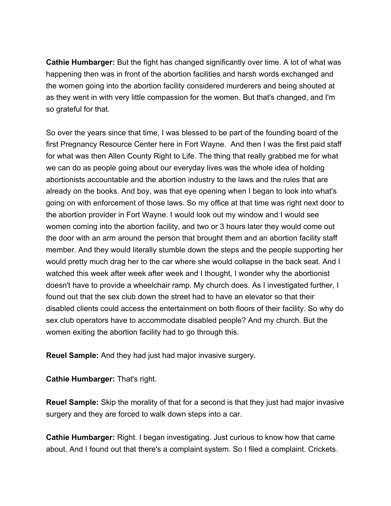**Cathie Humbarger:** But the fight has changed significantly over time. A lot of what was happening then was in front of the abortion facilities and harsh words exchanged and the women going into the abortion facility considered murderers and being shouted at as they went in with very little compassion for the women. But that's changed, and I'm so grateful for that.

So over the years since that time, I was blessed to be part of the founding board of the first Pregnancy Resource Center here in Fort Wayne. And then I was the first paid staff for what was then Allen County Right to Life. The thing that really grabbed me for what we can do as people going about our everyday lives was the whole idea of holding abortionists accountable and the abortion industry to the laws and the rules that are already on the books. And boy, was that eye opening when I began to look into what's going on with enforcement of those laws. So my office at that time was right next door to the abortion provider in Fort Wayne. I would look out my window and I would see women coming into the abortion facility, and two or 3 hours later they would come out the door with an arm around the person that brought them and an abortion facility staff member. And they would literally stumble down the steps and the people supporting her would pretty much drag her to the car where she would collapse in the back seat. And I watched this week after week after week and I thought, I wonder why the abortionist doesn't have to provide a wheelchair ramp. My church does. As I investigated further, I found out that the sex club down the street had to have an elevator so that their disabled clients could access the entertainment on both floors of their facility. So why do sex club operators have to accommodate disabled people? And my church. But the women exiting the abortion facility had to go through this.

**Reuel Sample:** And they had just had major invasive surgery.

**Cathie Humbarger:** That's right.

**Reuel Sample:** Skip the morality of that for a second is that they just had major invasive surgery and they are forced to walk down steps into a car.

**Cathie Humbarger:** Right. I began investigating. Just curious to know how that came about. And I found out that there's a complaint system. So I filed a complaint. Crickets.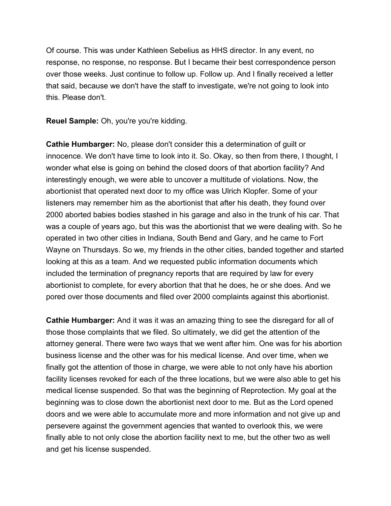Of course. This was under Kathleen Sebelius as HHS director. In any event, no response, no response, no response. But I became their best correspondence person over those weeks. Just continue to follow up. Follow up. And I finally received a letter that said, because we don't have the staff to investigate, we're not going to look into this. Please don't.

**Reuel Sample:** Oh, you're you're kidding.

**Cathie Humbarger:** No, please don't consider this a determination of guilt or innocence. We don't have time to look into it. So. Okay, so then from there, I thought, I wonder what else is going on behind the closed doors of that abortion facility? And interestingly enough, we were able to uncover a multitude of violations. Now, the abortionist that operated next door to my office was Ulrich Klopfer. Some of your listeners may remember him as the abortionist that after his death, they found over 2000 aborted babies bodies stashed in his garage and also in the trunk of his car. That was a couple of years ago, but this was the abortionist that we were dealing with. So he operated in two other cities in Indiana, South Bend and Gary, and he came to Fort Wayne on Thursdays. So we, my friends in the other cities, banded together and started looking at this as a team. And we requested public information documents which included the termination of pregnancy reports that are required by law for every abortionist to complete, for every abortion that that he does, he or she does. And we pored over those documents and filed over 2000 complaints against this abortionist.

**Cathie Humbarger:** And it was it was an amazing thing to see the disregard for all of those those complaints that we filed. So ultimately, we did get the attention of the attorney general. There were two ways that we went after him. One was for his abortion business license and the other was for his medical license. And over time, when we finally got the attention of those in charge, we were able to not only have his abortion facility licenses revoked for each of the three locations, but we were also able to get his medical license suspended. So that was the beginning of Reprotection. My goal at the beginning was to close down the abortionist next door to me. But as the Lord opened doors and we were able to accumulate more and more information and not give up and persevere against the government agencies that wanted to overlook this, we were finally able to not only close the abortion facility next to me, but the other two as well and get his license suspended.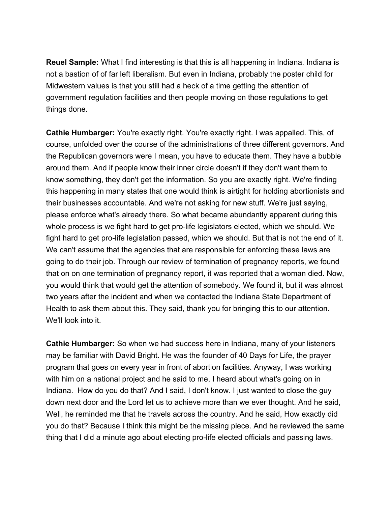**Reuel Sample:** What I find interesting is that this is all happening in Indiana. Indiana is not a bastion of of far left liberalism. But even in Indiana, probably the poster child for Midwestern values is that you still had a heck of a time getting the attention of government regulation facilities and then people moving on those regulations to get things done.

**Cathie Humbarger:** You're exactly right. You're exactly right. I was appalled. This, of course, unfolded over the course of the administrations of three different governors. And the Republican governors were I mean, you have to educate them. They have a bubble around them. And if people know their inner circle doesn't if they don't want them to know something, they don't get the information. So you are exactly right. We're finding this happening in many states that one would think is airtight for holding abortionists and their businesses accountable. And we're not asking for new stuff. We're just saying, please enforce what's already there. So what became abundantly apparent during this whole process is we fight hard to get pro-life legislators elected, which we should. We fight hard to get pro-life legislation passed, which we should. But that is not the end of it. We can't assume that the agencies that are responsible for enforcing these laws are going to do their job. Through our review of termination of pregnancy reports, we found that on on one termination of pregnancy report, it was reported that a woman died. Now, you would think that would get the attention of somebody. We found it, but it was almost two years after the incident and when we contacted the Indiana State Department of Health to ask them about this. They said, thank you for bringing this to our attention. We'll look into it.

**Cathie Humbarger:** So when we had success here in Indiana, many of your listeners may be familiar with David Bright. He was the founder of 40 Days for Life, the prayer program that goes on every year in front of abortion facilities. Anyway, I was working with him on a national project and he said to me, I heard about what's going on in Indiana. How do you do that? And I said, I don't know. I just wanted to close the guy down next door and the Lord let us to achieve more than we ever thought. And he said, Well, he reminded me that he travels across the country. And he said, How exactly did you do that? Because I think this might be the missing piece. And he reviewed the same thing that I did a minute ago about electing pro-life elected officials and passing laws.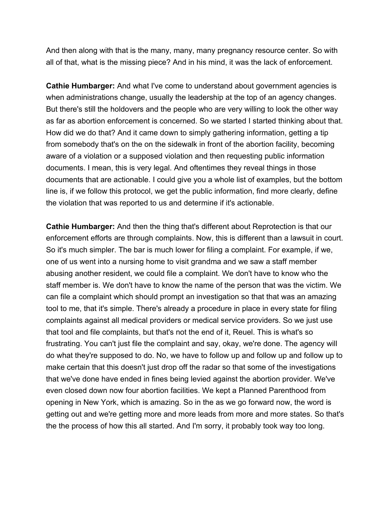And then along with that is the many, many, many pregnancy resource center. So with all of that, what is the missing piece? And in his mind, it was the lack of enforcement.

**Cathie Humbarger:** And what I've come to understand about government agencies is when administrations change, usually the leadership at the top of an agency changes. But there's still the holdovers and the people who are very willing to look the other way as far as abortion enforcement is concerned. So we started I started thinking about that. How did we do that? And it came down to simply gathering information, getting a tip from somebody that's on the on the sidewalk in front of the abortion facility, becoming aware of a violation or a supposed violation and then requesting public information documents. I mean, this is very legal. And oftentimes they reveal things in those documents that are actionable. I could give you a whole list of examples, but the bottom line is, if we follow this protocol, we get the public information, find more clearly, define the violation that was reported to us and determine if it's actionable.

**Cathie Humbarger:** And then the thing that's different about Reprotection is that our enforcement efforts are through complaints. Now, this is different than a lawsuit in court. So it's much simpler. The bar is much lower for filing a complaint. For example, if we, one of us went into a nursing home to visit grandma and we saw a staff member abusing another resident, we could file a complaint. We don't have to know who the staff member is. We don't have to know the name of the person that was the victim. We can file a complaint which should prompt an investigation so that that was an amazing tool to me, that it's simple. There's already a procedure in place in every state for filing complaints against all medical providers or medical service providers. So we just use that tool and file complaints, but that's not the end of it, Reuel. This is what's so frustrating. You can't just file the complaint and say, okay, we're done. The agency will do what they're supposed to do. No, we have to follow up and follow up and follow up to make certain that this doesn't just drop off the radar so that some of the investigations that we've done have ended in fines being levied against the abortion provider. We've even closed down now four abortion facilities. We kept a Planned Parenthood from opening in New York, which is amazing. So in the as we go forward now, the word is getting out and we're getting more and more leads from more and more states. So that's the the process of how this all started. And I'm sorry, it probably took way too long.